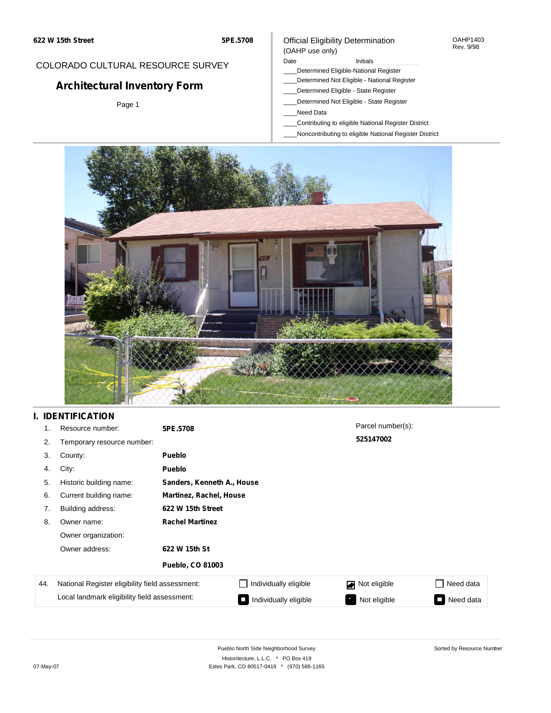#### OAHP1403 Rev. 9/98

Sorted by Resource Number

### COLORADO CULTURAL RESOURCE SURVEY

# **Architectural Inventory Form**

Page 1

### Official Eligibility Determination (OAHP use only)

#### Date **Initials** Initials

- \_\_\_\_Determined Eligible-National Register
- \_\_\_\_Determined Not Eligible National Register
- \_\_\_\_Determined Eligible State Register
- \_\_\_\_Determined Not Eligible State Register
- \_\_\_\_Need Data
- \_\_\_\_Contributing to eligible National Register District
- \_\_\_\_Noncontributing to eligible National Register District



### **I. IDENTIFICATION**

| 1.  | Resource number:                                | 5PE.5708                |                            | Parcel number(s): |           |  |  |  |  |  |
|-----|-------------------------------------------------|-------------------------|----------------------------|-------------------|-----------|--|--|--|--|--|
| 2.  | Temporary resource number:                      |                         |                            | 525147002         |           |  |  |  |  |  |
| 3.  | County:                                         | <b>Pueblo</b>           |                            |                   |           |  |  |  |  |  |
| 4.  | City:                                           | <b>Pueblo</b>           |                            |                   |           |  |  |  |  |  |
| 5.  | Historic building name:                         |                         | Sanders, Kenneth A., House |                   |           |  |  |  |  |  |
| 6.  | Current building name:                          | Martinez, Rachel, House |                            |                   |           |  |  |  |  |  |
| 7.  | Building address:                               | 622 W 15th Street       |                            |                   |           |  |  |  |  |  |
| 8.  | Owner name:                                     | <b>Rachel Martinez</b>  |                            |                   |           |  |  |  |  |  |
|     | Owner organization:                             |                         |                            |                   |           |  |  |  |  |  |
|     | Owner address:                                  | 622 W 15th St           |                            |                   |           |  |  |  |  |  |
|     |                                                 | <b>Pueblo, CO 81003</b> |                            |                   |           |  |  |  |  |  |
| 44. | National Register eligibility field assessment: |                         | Individually eligible      | Not eligible<br>◪ | Need data |  |  |  |  |  |
|     | Local landmark eligibility field assessment:    |                         | Individually eligible      | Not eligible      | Need data |  |  |  |  |  |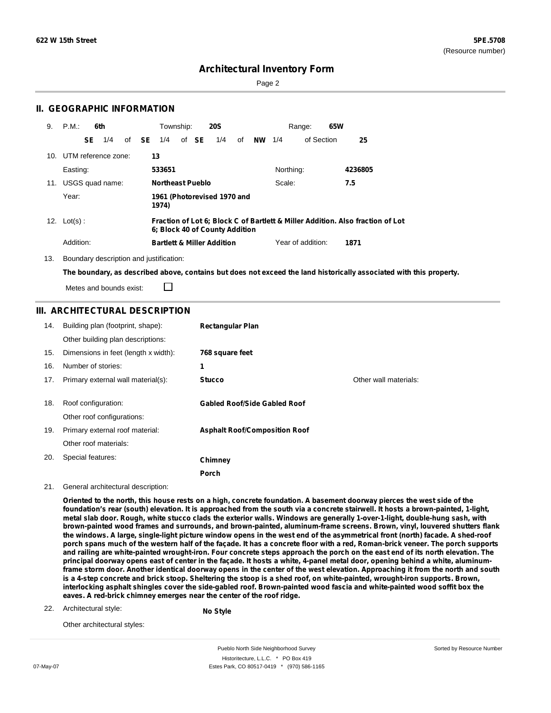Sorted by Resource Number

### **Architectural Inventory Form**

Page 2

### **II. GEOGRAPHIC INFORMATION**

| 9. | P.M.:                   |    | 6th |              | Township:               |       | <b>20S</b>                            |                  |           | Range:            | 65W  |                                                                                |
|----|-------------------------|----|-----|--------------|-------------------------|-------|---------------------------------------|------------------|-----------|-------------------|------|--------------------------------------------------------------------------------|
|    |                         | SE | 1/4 | of <b>SE</b> | 1/4                     | of SE | 1/4                                   | of <b>NW</b> 1/4 |           | of Section        |      | 25                                                                             |
|    | 10. UTM reference zone: |    |     |              | 13                      |       |                                       |                  |           |                   |      |                                                                                |
|    | Easting:                |    |     |              | 533651                  |       |                                       |                  | Northing: |                   |      | 4236805                                                                        |
|    | 11. USGS quad name:     |    |     |              | <b>Northeast Pueblo</b> |       |                                       |                  | Scale:    |                   | 7.5  |                                                                                |
|    | Year:                   |    |     |              | 1974)                   |       | 1961 (Photorevised 1970 and           |                  |           |                   |      |                                                                                |
|    | 12. $Lot(s)$ :          |    |     |              |                         |       | 6; Block 40 of County Addition        |                  |           |                   |      | Fraction of Lot 6; Block C of Bartlett & Miller Addition. Also fraction of Lot |
|    | Addition:               |    |     |              |                         |       | <b>Bartlett &amp; Miller Addition</b> |                  |           | Year of addition: | 1871 |                                                                                |

13. Boundary description and justification:

□

The boundary, as described above, contains but does not exceed the land historically associated with this property.

Metes and bounds exist:

### **III. ARCHITECTURAL DESCRIPTION**

| 14. | Building plan (footprint, shape):    | <b>Rectangular Plan</b>              |                       |
|-----|--------------------------------------|--------------------------------------|-----------------------|
|     | Other building plan descriptions:    |                                      |                       |
| 15. | Dimensions in feet (length x width): | 768 square feet                      |                       |
| 16. | Number of stories:                   | 1                                    |                       |
| 17. | Primary external wall material(s):   | <b>Stucco</b>                        | Other wall materials: |
|     |                                      |                                      |                       |
| 18. | Roof configuration:                  | <b>Gabled Roof/Side Gabled Roof</b>  |                       |
|     | Other roof configurations:           |                                      |                       |
| 19. | Primary external roof material:      | <b>Asphalt Roof/Composition Roof</b> |                       |
|     | Other roof materials:                |                                      |                       |
| 20. | Special features:                    | Chimney                              |                       |
|     |                                      | Porch                                |                       |

21. General architectural description:

Oriented to the north, this house rests on a high, concrete foundation. A basement doorway pierces the west side of the foundation's rear (south) elevation. It is approached from the south via a concrete stairwell. It hosts a brown-painted, 1-light, metal slab door. Rough, white stucco clads the exterior walls. Windows are generally 1-over-1-light, double-hung sash, with **brown-painted wood frames and surrounds, and brown-painted, aluminum-frame screens. Brown, vinyl, louvered shutters flank** the windows. A large, single-light picture window opens in the west end of the asymmetrical front (north) facade. A shed-roof porch spans much of the western half of the façade. It has a concrete floor with a red, Roman-brick veneer. The porch supports and railing are white-painted wrought-iron. Four concrete steps approach the porch on the east end of its north elevation. The principal doorway opens east of center in the façade. It hosts a white, 4-panel metal door, opening behind a white, aluminumframe storm door. Another identical doorway opens in the center of the west elevation. Approaching it from the north and south is a 4-step concrete and brick stoop. Sheltering the stoop is a shed roof, on white-painted, wrought-iron supports. Brown, interlocking asphalt shingles cover the side-gabled roof. Brown-painted wood fascia and white-painted wood soffit box the **eaves. A red-brick chimney emerges near the center of the roof ridge.**

Architectural style: 22.

**No Style**

Other architectural styles:

Pueblo North Side Neighborhood Survey Historitecture, L.L.C. \* PO Box 419 07-May-07 **Estes Park, CO 80517-0419** \* (970) 586-1165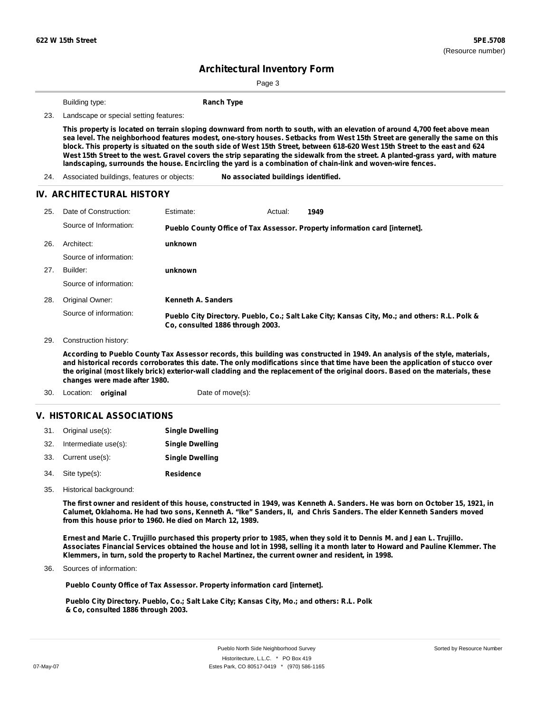Page 3

**Building type: Ranch Type** 

23. Landscape or special setting features:

This property is located on terrain sloping downward from north to south, with an elevation of around 4,700 feet above mean sea level. The neighborhood features modest, one-story houses. Setbacks from West 15th Street are generally the same on this block. This property is situated on the south side of West 15th Street, between 618-620 West 15th Street to the east and 624 West 15th Street to the west. Gravel covers the strip separating the sidewalk from the street. A planted-grass yard, with mature **landscaping, surrounds the house. Encircling the yard is a combination of chain-link and woven-wire fences.**

24. Associated buildings, features or objects: **No associated buildings identified.**

#### **IV. ARCHITECTURAL HISTORY**

| 25. | Date of Construction:  | Estimate:                        | Actual: | 1949                                                                                          |
|-----|------------------------|----------------------------------|---------|-----------------------------------------------------------------------------------------------|
|     | Source of Information: |                                  |         | Pueblo County Office of Tax Assessor. Property information card [internet].                   |
| 26. | Architect:             | unknown                          |         |                                                                                               |
|     | Source of information: |                                  |         |                                                                                               |
| 27. | Builder:               | unknown                          |         |                                                                                               |
|     | Source of information: |                                  |         |                                                                                               |
| 28. | Original Owner:        | Kenneth A. Sanders               |         |                                                                                               |
|     | Source of information: | Co. consulted 1886 through 2003. |         | Pueblo City Directory. Pueblo, Co.; Salt Lake City; Kansas City, Mo.; and others: R.L. Polk & |

29. Construction history:

According to Pueblo County Tax Assessor records, this building was constructed in 1949. An analysis of the style, materials, and historical records corroborates this date. The only modifications since that time have been the application of stucco over the original (most likely brick) exterior-wall cladding and the replacement of the original doors. Based on the materials, these **changes were made after 1980.**

30. Location: **original** Date of move(s):

### **V. HISTORICAL ASSOCIATIONS**

|     | 31. Original use(s): | <b>Single Dwelling</b> |
|-----|----------------------|------------------------|
| 32. | Intermediate use(s): | <b>Single Dwelling</b> |
|     | 33. Current use(s):  | <b>Single Dwelling</b> |
|     | 34. Site type(s):    | <b>Residence</b>       |

35. Historical background:

The first owner and resident of this house, constructed in 1949, was Kenneth A. Sanders. He was born on October 15, 1921, in Calumet, Oklahoma. He had two sons, Kenneth A. "Ike" Sanders, II, and Chris Sanders. The elder Kenneth Sanders moved **from this house prior to 1960. He died on March 12, 1989.**

Ernest and Marie C. Trujillo purchased this property prior to 1985, when they sold it to Dennis M. and Jean L. Trujillo. Associates Financial Services obtained the house and lot in 1998, selling it a month later to Howard and Pauline Klemmer. The **Klemmers, in turn, sold the property to Rachel Martinez, the current owner and resident, in 1998.**

Sources of information: 36.

**Pueblo County Office of Tax Assessor. Property information card [internet].**

**Pueblo City Directory. Pueblo, Co.; Salt Lake City; Kansas City, Mo.; and others: R.L. Polk & Co, consulted 1886 through 2003.**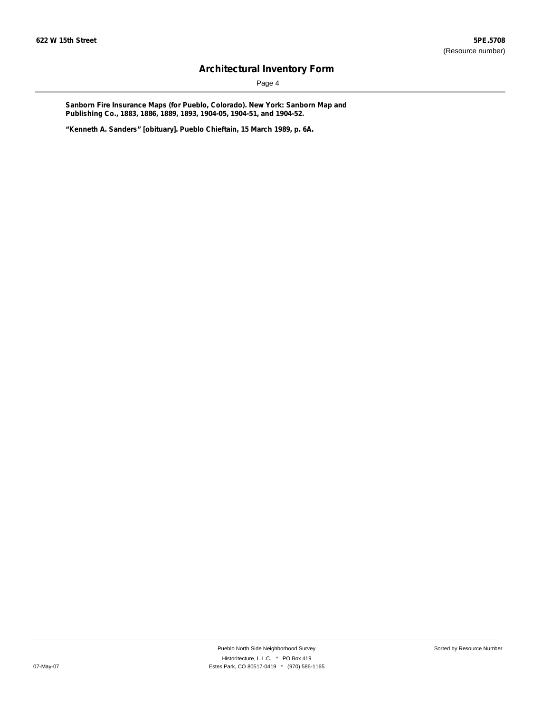Page 4

**Sanborn Fire Insurance Maps (for Pueblo, Colorado). New York: Sanborn Map and Publishing Co., 1883, 1886, 1889, 1893, 1904-05, 1904-51, and 1904-52.**

**"Kenneth A. Sanders" [obituary]. Pueblo Chieftain, 15 March 1989, p. 6A.**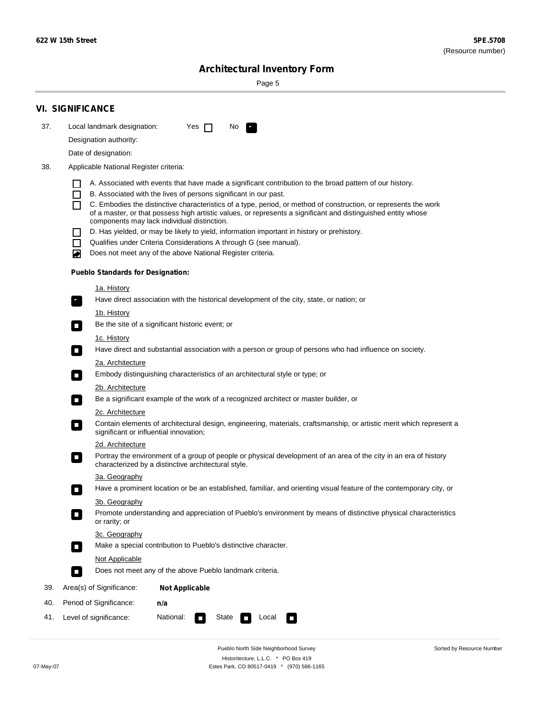Sorted by Resource Number

# **Architectural Inventory Form**

Page 5

|     | <b>VI. SIGNIFICANCE</b>                                                                                                                                                           |
|-----|-----------------------------------------------------------------------------------------------------------------------------------------------------------------------------------|
| 37. | Local landmark designation:<br>Yes $\Box$<br>No.<br>$\mathbf{F}_{\mathbf{r}}$                                                                                                     |
|     | Designation authority:                                                                                                                                                            |
|     | Date of designation:                                                                                                                                                              |
| 38. | Applicable National Register criteria:                                                                                                                                            |
|     | A. Associated with events that have made a significant contribution to the broad pattern of our history.                                                                          |
|     | B. Associated with the lives of persons significant in our past.<br>$\blacksquare$                                                                                                |
|     | C. Embodies the distinctive characteristics of a type, period, or method of construction, or represents the work<br>П                                                             |
|     | of a master, or that possess high artistic values, or represents a significant and distinguished entity whose<br>components may lack individual distinction.                      |
|     | D. Has yielded, or may be likely to yield, information important in history or prehistory.                                                                                        |
|     | Qualifies under Criteria Considerations A through G (see manual).<br>$\sim$                                                                                                       |
|     | Does not meet any of the above National Register criteria.<br>₩                                                                                                                   |
|     | <b>Pueblo Standards for Designation:</b>                                                                                                                                          |
|     | 1a. History                                                                                                                                                                       |
|     | $\overline{\mathbf{r}}_1$<br>Have direct association with the historical development of the city, state, or nation; or                                                            |
|     | <u>1b. History</u>                                                                                                                                                                |
|     | Be the site of a significant historic event; or<br>$\overline{\phantom{a}}$                                                                                                       |
|     | 1c. History                                                                                                                                                                       |
|     | Have direct and substantial association with a person or group of persons who had influence on society.<br>$\overline{\phantom{a}}$                                               |
|     | 2a. Architecture<br>Embody distinguishing characteristics of an architectural style or type; or                                                                                   |
|     | $\Box$                                                                                                                                                                            |
|     | 2b. Architecture<br>Be a significant example of the work of a recognized architect or master builder, or<br>$\Box$                                                                |
|     | 2c. Architecture                                                                                                                                                                  |
|     | Contain elements of architectural design, engineering, materials, craftsmanship, or artistic merit which represent a<br>$\Box$<br>significant or influential innovation;          |
|     | 2d. Architecture                                                                                                                                                                  |
|     | Portray the environment of a group of people or physical development of an area of the city in an era of history<br>$\Box$<br>characterized by a distinctive architectural style. |
|     | 3a. Geography                                                                                                                                                                     |
|     | Have a prominent location or be an established, familiar, and orienting visual feature of the contemporary city, or                                                               |
|     | 3b. Geography                                                                                                                                                                     |
|     | Promote understanding and appreciation of Pueblo's environment by means of distinctive physical characteristics<br>or rarity; or                                                  |
|     | 3c. Geography                                                                                                                                                                     |
|     | Make a special contribution to Pueblo's distinctive character.<br>$\overline{\phantom{a}}$                                                                                        |
|     | <b>Not Applicable</b><br>Does not meet any of the above Pueblo landmark criteria.                                                                                                 |
|     | $\overline{\phantom{a}}$                                                                                                                                                          |
| 39. | Area(s) of Significance:<br><b>Not Applicable</b>                                                                                                                                 |
| 40. | Period of Significance:<br>n/a                                                                                                                                                    |
| 41. | Level of significance:<br>National:<br>State<br>Local<br>$\Box$<br>$\sim$                                                                                                         |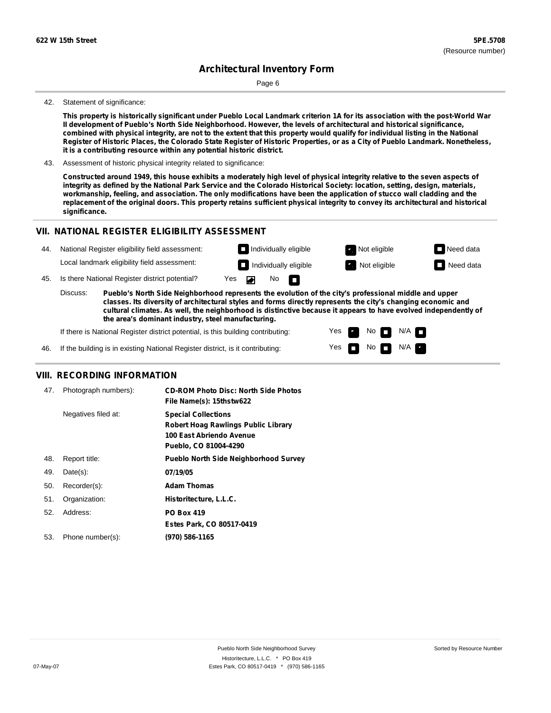Page 6

#### 42. Statement of significance:

This property is historically significant under Pueblo Local Landmark criterion 1A for its association with the post-World War **II development of Pueblo's North Side Neighborhood. However, the levels of architectural and historical significance,** combined with physical integrity, are not to the extent that this property would qualify for individual listing in the National Register of Historic Places, the Colorado State Register of Historic Properties, or as a City of Pueblo Landmark. Nonetheless, **it is a contributing resource within any potential historic district.**

43. Assessment of historic physical integrity related to significance:

Constructed around 1949, this house exhibits a moderately high level of physical integrity relative to the seven aspects of integrity as defined by the National Park Service and the Colorado Historical Society: location, setting, design, materials, workmanship, feeling, and association. The only modifications have been the application of stucco wall cladding and the replacement of the original doors. This property retains sufficient physical integrity to convey its architectural and historical **significance.**

#### **VII. NATIONAL REGISTER ELIGIBILITY ASSESSMENT**

| 44. | National Register eligibility field assessment: |                                                |     | $\Box$ Individually eligible |                   |                                                                                                                                                                                                                        | Not eligible          | $\Box$ Need data |
|-----|-------------------------------------------------|------------------------------------------------|-----|------------------------------|-------------------|------------------------------------------------------------------------------------------------------------------------------------------------------------------------------------------------------------------------|-----------------------|------------------|
|     |                                                 | Local landmark eligibility field assessment:   |     |                              |                   | $\Box$ Individually eligible                                                                                                                                                                                           | <b>R</b> Not eligible | $\Box$ Need data |
| 45. |                                                 | Is there National Register district potential? | Yes |                              | No $\blacksquare$ |                                                                                                                                                                                                                        |                       |                  |
|     | Discuss:                                        |                                                |     |                              |                   | Pueblo's North Side Neighborhood represents the evolution of the city's professional middle and upper<br>classes. Its diversity of architectural styles and forms directly represents the city's changing economic and |                       |                  |

**classes. Its diversity of architectural styles and forms directly represents the city's changing economic and cultural climates. As well, the neighborhood is distinctive because it appears to have evolved independently of the area's dominant industry, steel manufacturing.**

> Yes Yes

No

No  $\blacksquare$  N/A  $\blacksquare$ 

 $N/A$ 

If there is National Register district potential, is this building contributing:

46. If the building is in existing National Register district, is it contributing:

#### **VIII. RECORDING INFORMATION**

| 47. | Photograph numbers): | <b>CD-ROM Photo Disc: North Side Photos</b><br>File Name(s): 15thstw622                                                       |
|-----|----------------------|-------------------------------------------------------------------------------------------------------------------------------|
|     | Negatives filed at:  | <b>Special Collections</b><br><b>Robert Hoag Rawlings Public Library</b><br>100 East Abriendo Avenue<br>Pueblo, CO 81004-4290 |
| 48. | Report title:        | <b>Pueblo North Side Neighborhood Survey</b>                                                                                  |
| 49. | $Date(s)$ :          | 07/19/05                                                                                                                      |
| 50. | Recorder(s):         | <b>Adam Thomas</b>                                                                                                            |
| 51. | Organization:        | Historitecture, L.L.C.                                                                                                        |
| 52. | Address:             | <b>PO Box 419</b>                                                                                                             |
|     |                      | Estes Park, CO 80517-0419                                                                                                     |
| 53. | Phone number(s):     | (970) 586-1165                                                                                                                |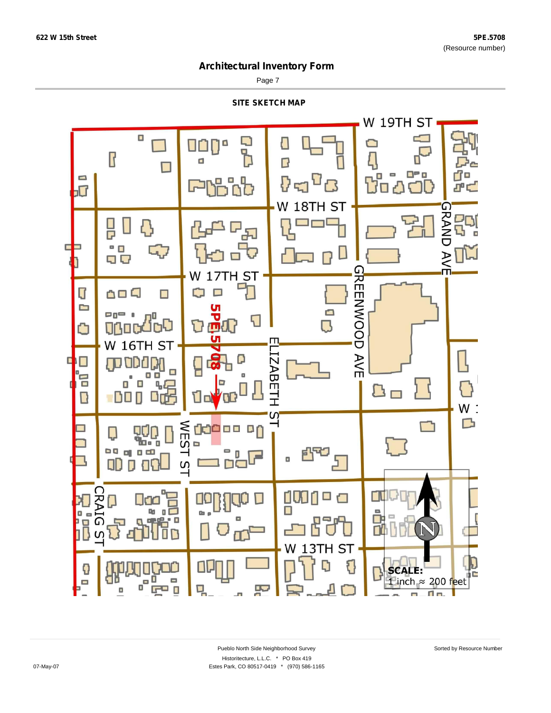Page 7